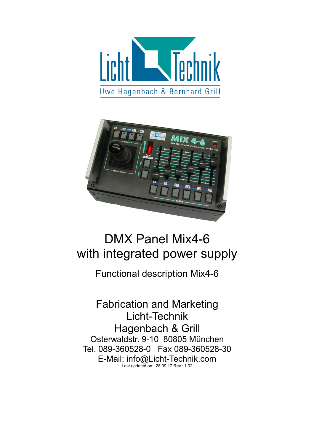



# DMX Panel Mix4-6 with integrated power supply

Functional description Mix4-6

Fabrication and Marketing Licht-Technik Hagenbach & Grill Osterwaldstr. 9-10 80805 München Tel. 089-360528-0 Fax 089-360528-30 E-Mail: info@Licht-Technik.com Last updated on: 28.09.17 Rev.: 1.02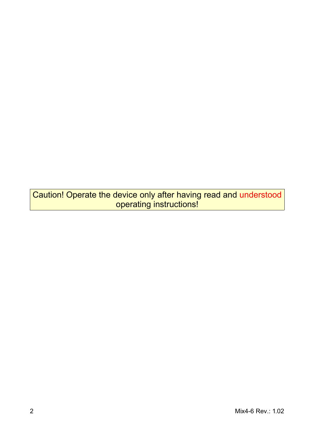Caution! Operate the device only after having read and understood operating instructions!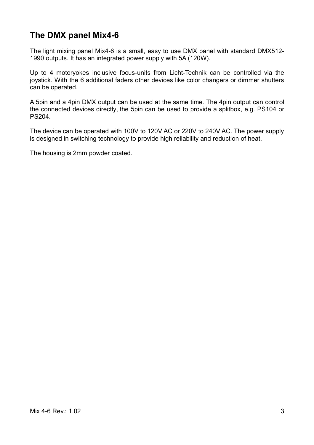### **The DMX panel Mix4-6**

The light mixing panel Mix4-6 is a small, easy to use DMX panel with standard DMX512- 1990 outputs. It has an integrated power supply with 5A (120W).

Up to 4 motoryokes inclusive focus-units from Licht-Technik can be controlled via the joystick. With the 6 additional faders other devices like color changers or dimmer shutters can be operated.

A 5pin and a 4pin DMX output can be used at the same time. The 4pin output can control the connected devices directly, the 5pin can be used to provide a splitbox, e.g. PS104 or PS204.

The device can be operated with 100V to 120V AC or 220V to 240V AC. The power supply is designed in switching technology to provide high reliability and reduction of heat.

The housing is 2mm powder coated.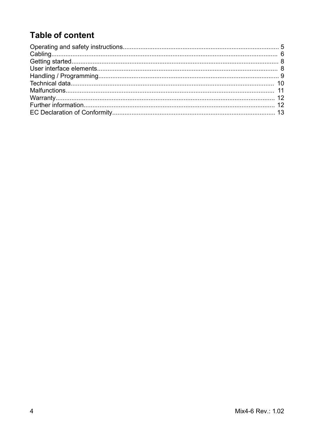## **Table of content**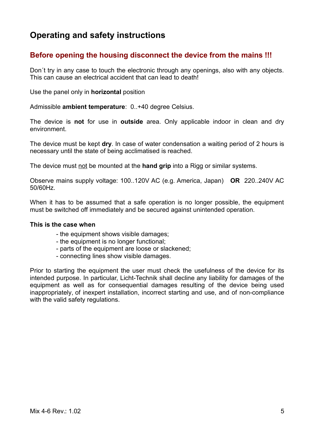### **Operating and safety instructions**

### **Before opening the housing disconnect the device from the mains !!!**

Don´t try in any case to touch the electronic through any openings, also with any objects. This can cause an electrical accident that can lead to death!

Use the panel only in **horizontal** position

Admissible **ambient temperature**: 0..+40 degree Celsius.

The device is **not** for use in **outside** area. Only applicable indoor in clean and dry environment.

The device must be kept **dry**. In case of water condensation a waiting period of 2 hours is necessary until the state of being acclimatised is reached.

The device must not be mounted at the **hand grip** into a Rigg or similar systems.

Observe mains supply voltage: 100..120V AC (e.g. America, Japan) **OR** 220..240V AC 50/60Hz.

When it has to be assumed that a safe operation is no longer possible, the equipment must be switched off immediately and be secured against unintended operation.

#### **This is the case when**

- the equipment shows visible damages;
- the equipment is no longer functional;
- parts of the equipment are loose or slackened;
- connecting lines show visible damages.

Prior to starting the equipment the user must check the usefulness of the device for its intended purpose. In particular, Licht-Technik shall decline any liability for damages of the equipment as well as for consequential damages resulting of the device being used inappropriately, of inexpert installation, incorrect starting and use, and of non-compliance with the valid safety regulations.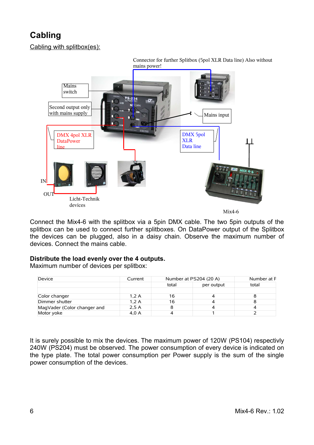### **Cabling**

Cabling with splitbox(es):



Connect the Mix4-6 with the splitbox via a 5pin DMX cable. The two 5pin outputs of the splitbox can be used to connect further splitboxes. On DataPower output of the Splitbox the devices can be plugged, also in a daisy chain. Observe the maximum number of devices. Connect the mains cable.

### **Distribute the load evenly over the 4 outputs.**

Maximum number of devices per splitbox:

| Device                      | Current | Number at PS204 (20 A) |            | Number at F |
|-----------------------------|---------|------------------------|------------|-------------|
|                             |         | total                  | per output | total       |
| Color changer               | 1,2A    |                        |            |             |
| Dimmer shutter              | .2 A    | ١b                     |            |             |
| MagVader (Color changer and | 2.5 A   |                        |            |             |
| Motor yoke                  | 4,0 A   |                        |            |             |

It is surely possible to mix the devices. The maximum power of 120W (PS104) respectivly 240W (PS204) must be observed. The power consumption of every device is indicated on the type plate. The total power consumption per Power supply is the sum of the single power consumption of the devices.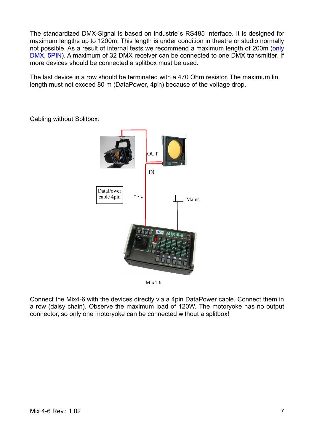The standardized DMX-Signal is based on industrie´s RS485 Interface. It is designed for maximum lengths up to 1200m. This length is under condition in theatre or studio normally not possible. As a result of internal tests we recommend a maximum length of 200m (only DMX, 5PIN). A maximum of 32 DMX receiver can be connected to one DMX transmitter. If more devices should be connected a splitbox must be used.

The last device in a row should be terminated with a 470 Ohm resistor. The maximum lin length must not exceed 80 m (DataPower, 4pin) because of the voltage drop.



Cabling without Splitbox:

Mix4-6

Connect the Mix4-6 with the devices directly via a 4pin DataPower cable. Connect them in a row (daisy chain). Observe the maximum load of 120W. The motoryoke has no output connector, so only one motoryoke can be connected without a splitbox!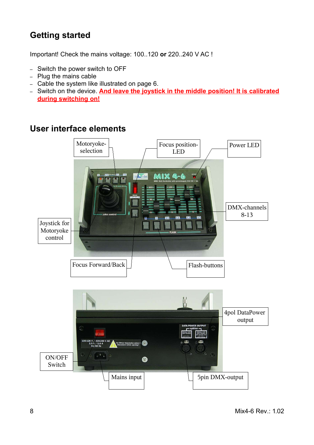### **Getting started**

Important! Check the mains voltage: 100..120 **or** 220..240 V AC !

- Switch the power switch to OFF
- Plug the mains cable
- Cable the system like illustrated on page 6.
- Switch on the device. **And leave the joystick in the middle position! It is calibrated during switching on!**

### **User interface elements**

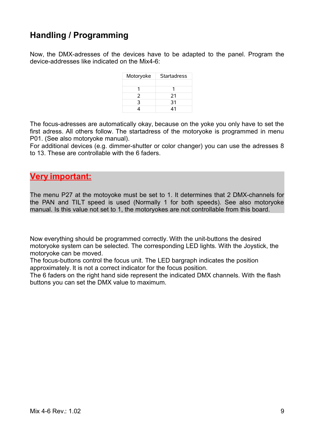### **Handling / Programming**

Now, the DMX-adresses of the devices have to be adapted to the panel. Program the device-addresses like indicated on the Mix4-6:

| Motoryoke | <b>Startadress</b> |
|-----------|--------------------|
|           |                    |
|           |                    |
|           | 21                 |
|           | 31                 |
|           |                    |

The focus-adresses are automatically okay, because on the yoke you only have to set the first adress. All others follow. The startadress of the motoryoke is programmed in menu P01. (See also motoryoke manual).

For additional devices (e.g. dimmer-shutter or color changer) you can use the adresses 8 to 13. These are controllable with the 6 faders.

### **Very important:**

The menu P27 at the motoyoke must be set to 1. It determines that 2 DMX-channels for the PAN and TILT speed is used (Normally 1 for both speeds). See also motoryoke manual. Is this value not set to 1, the motoryokes are not controllable from this board.

Now everything should be programmed correctly. With the unit-buttons the desired motoryoke system can be selected. The corresponding LED lights. With the Joystick, the motoryoke can be moved.

The focus-buttons control the focus unit. The LED bargraph indicates the position approximately. It is not a correct indicator for the focus position.

The 6 faders on the right hand side represent the indicated DMX channels. With the flash buttons you can set the DMX value to maximum.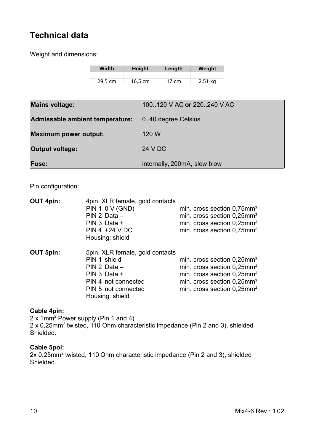### **Technical data**

Weight and dimensions:

| <b>Width</b> | <b>Height</b>     | Length  | Weight    |
|--------------|-------------------|---------|-----------|
|              |                   |         |           |
| 29.5 cm      | $16.5 \text{ cm}$ | 17 $cm$ | $2,51$ kg |

| <b>Mains voltage:</b>           | 100.120 V AC or 220.240 V AC |
|---------------------------------|------------------------------|
| Admissable ambient temperature: | 0.40 degree Celsius          |
| <b>Maximum power output:</b>    | 120 W                        |
| <b>Output voltage:</b>          | 24 V DC                      |
| <b>Fuse:</b>                    | internally, 200mA, slow blow |

Pin configuration:

| <b>OUT 4pin:</b> | 4pin. XLR female, gold contacts<br><b>PIN 1 0 V (GND)</b><br>$PIN 2 Data -$<br>PIN 3 Data +<br>$PIN 4 + 24 V DC$<br>Housing: shield                | min. cross section $0.75$ mm <sup>2</sup><br>min. cross section $0,25$ mm <sup>2</sup><br>min. cross section 0,25mm <sup>2</sup><br>min. cross section 0.75mm <sup>2</sup>                                              |
|------------------|----------------------------------------------------------------------------------------------------------------------------------------------------|-------------------------------------------------------------------------------------------------------------------------------------------------------------------------------------------------------------------------|
| <b>OUT 5pin:</b> | 5pin. XLR female, gold contacts<br>PIN 1 shield<br>$PIN 2 Data -$<br>PIN 3 Data +<br>PIN 4 not connected<br>PIN 5 not connected<br>Housing: shield | min. cross section $0,25$ mm <sup>2</sup><br>min. cross section 0,25mm <sup>2</sup><br>min. cross section $0,25$ mm <sup>2</sup><br>min. cross section $0,25$ mm <sup>2</sup><br>min. cross section 0,25mm <sup>2</sup> |

#### **Cable 4pin:**

2 x 1mm<sup>2</sup> Power supply (Pin 1 and 4) 2 x 0,25mm<sup>2</sup> twisted, 110 Ohm characteristic impedance (Pin 2 and 3), shielded Shielded.

#### **Cable 5pol:**

2x 0,25mm<sup>2</sup> twisted, 110 Ohm characteristic impedance (Pin 2 and 3), shielded Shielded.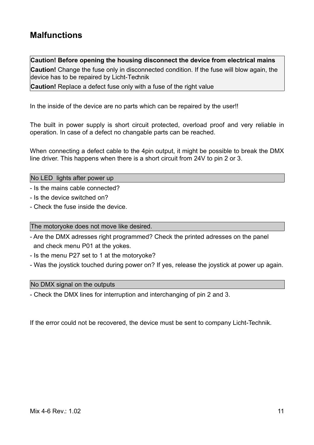### **Malfunctions**

**Caution! Before opening the housing disconnect the device from electrical mains**

**Caution!** Change the fuse only in disconnected condition. If the fuse will blow again, the device has to be repaired by Licht-Technik

**Caution!** Replace a defect fuse only with a fuse of the right value

In the inside of the device are no parts which can be repaired by the user!!

The built in power supply is short circuit protected, overload proof and very reliable in operation. In case of a defect no changable parts can be reached.

When connecting a defect cable to the 4pin output, it might be possible to break the DMX line driver. This happens when there is a short circuit from 24V to pin 2 or 3.

No LED lights after power up

- Is the mains cable connected?

- Is the device switched on?
- Check the fuse inside the device.

The motoryoke does not move like desired.

- Are the DMX adresses right programmed? Check the printed adresses on the panel and check menu P01 at the yokes.
- Is the menu P27 set to 1 at the motoryoke?
- Was the joystick touched during power on? If yes, release the joystick at power up again.

#### No DMX signal on the outputs

- Check the DMX lines for interruption and interchanging of pin 2 and 3.

If the error could not be recovered, the device must be sent to company Licht-Technik.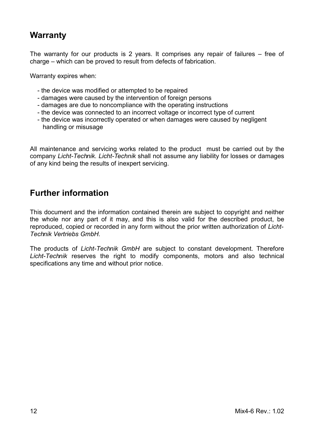### **Warranty**

The warranty for our products is 2 years. It comprises any repair of failures – free of charge – which can be proved to result from defects of fabrication.

Warranty expires when:

- the device was modified or attempted to be repaired
- damages were caused by the intervention of foreign persons
- damages are due to noncompliance with the operating instructions
- the device was connected to an incorrect voltage or incorrect type of current
- the device was incorrectly operated or when damages were caused by negligent handling or misusage

All maintenance and servicing works related to the product must be carried out by the company *Licht-Technik. Licht-Technik* shall not assume any liability for losses or damages of any kind being the results of inexpert servicing.

### **Further information**

This document and the information contained therein are subject to copyright and neither the whole nor any part of it may, and this is also valid for the described product, be reproduced, copied or recorded in any form without the prior written authorization of *Licht-Technik Vertriebs GmbH*.

The products of *Licht-Technik GmbH* are subject to constant development. Therefore *Licht-Technik* reserves the right to modify components, motors and also technical specifications any time and without prior notice.